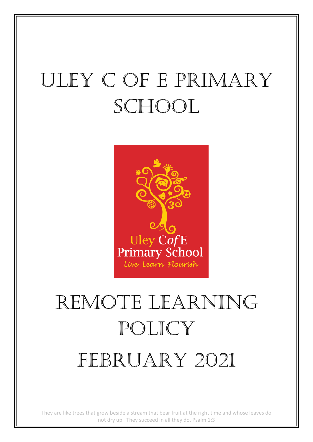# Uley C of E Primary SCHOOL



# REMOTE LEARNING policy FEBRUARY 2021

They are like trees that grow beside a stream that bear fruit at the right time and whose leaves do not dry up. They succeed in all they do. Psalm 1:3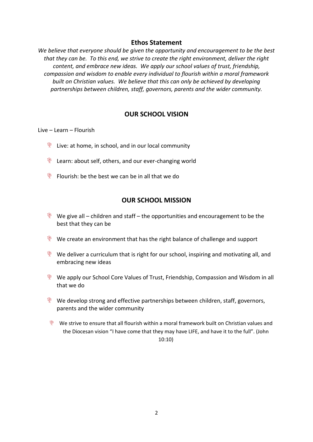#### **Ethos Statement**

*We believe that everyone should be given the opportunity and encouragement to be the best that they can be. To this end, we strive to create the right environment, deliver the right content, and embrace new ideas. We apply our school values of trust, friendship, compassion and wisdom to enable every individual to flourish within a moral framework built on Christian values. We believe that this can only be achieved by developing partnerships between children, staff, governors, parents and the wider community.*

#### **OUR SCHOOL VISION**

Live – Learn – Flourish

- $*$  Live: at home, in school, and in our local community
- $*$  Learn: about self, others, and our ever-changing world
- $*$  Flourish: be the best we can be in all that we do

#### **OUR SCHOOL MISSION**

- We give all children and staff the opportunities and encouragement to be the best that they can be
- $\bullet$  We create an environment that has the right balance of challenge and support
- $\bullet$  We deliver a curriculum that is right for our school, inspiring and motivating all, and embracing new ideas
- We apply our School Core Values of Trust, Friendship, Compassion and Wisdom in all that we do
- $\bullet$  We develop strong and effective partnerships between children, staff, governors, parents and the wider community
- We strive to ensure that all flourish within a moral framework built on Christian values and the Diocesan vision "I have come that they may have LIFE, and have it to the full". (John 10:10)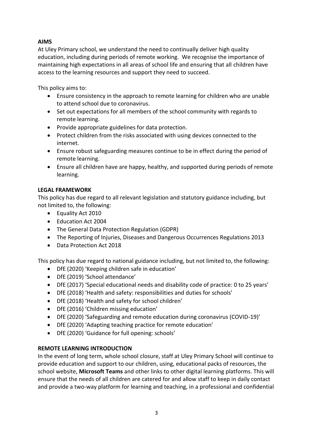#### **AIMS**

At Uley Primary school, we understand the need to continually deliver high quality education, including during periods of remote working. We recognise the importance of maintaining high expectations in all areas of school life and ensuring that all children have access to the learning resources and support they need to succeed.

This policy aims to:

- Ensure consistency in the approach to remote learning for children who are unable to attend school due to coronavirus.
- Set out expectations for all members of the school community with regards to remote learning.
- Provide appropriate guidelines for data protection.
- Protect children from the risks associated with using devices connected to the internet.
- Ensure robust safeguarding measures continue to be in effect during the period of remote learning.
- Ensure all children have are happy, healthy, and supported during periods of remote learning.

#### **LEGAL FRAMEWORK**

This policy has due regard to all relevant legislation and statutory guidance including, but not limited to, the following:

- Equality Act 2010
- Education Act 2004
- The General Data Protection Regulation (GDPR)
- The Reporting of Injuries, Diseases and Dangerous Occurrences Regulations 2013
- Data Protection Act 2018

This policy has due regard to national guidance including, but not limited to, the following:

- DfE (2020) 'Keeping children safe in education'
- DfE (2019) 'School attendance'
- DfE (2017) 'Special educational needs and disability code of practice: 0 to 25 years'
- DfE (2018) 'Health and safety: responsibilities and duties for schools'
- DfE (2018) 'Health and safety for school children'
- DfE (2016) 'Children missing education'
- DfE (2020) 'Safeguarding and remote education during coronavirus (COVID-19)'
- DfE (2020) 'Adapting teaching practice for remote education'
- DfE (2020) 'Guidance for full opening: schools'

#### **REMOTE LEARNING INTRODUCTION**

In the event of long term, whole school closure, staff at Uley Primary School will continue to provide education and support to our children, using, educational packs of resources, the school website, **Microsoft Teams** and other links to other digital learning platforms. This will ensure that the needs of all children are catered for and allow staff to keep in daily contact and provide a two-way platform for learning and teaching, in a professional and confidential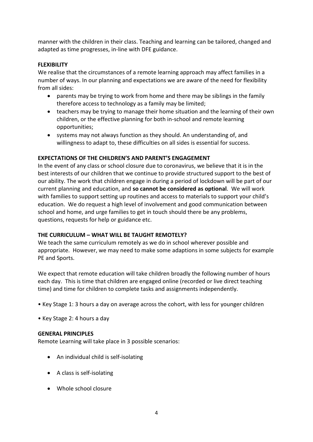manner with the children in their class. Teaching and learning can be tailored, changed and adapted as time progresses, in-line with DFE guidance.

#### **FLEXIBILITY**

We realise that the circumstances of a remote learning approach may affect families in a number of ways. In our planning and expectations we are aware of the need for flexibility from all sides:

- parents may be trying to work from home and there may be siblings in the family therefore access to technology as a family may be limited;
- teachers may be trying to manage their home situation and the learning of their own children, or the effective planning for both in-school and remote learning opportunities;
- systems may not always function as they should. An understanding of, and willingness to adapt to, these difficulties on all sides is essential for success.

#### **EXPECTATIONS OF THE CHILDREN'S AND PARENT'S ENGAGEMENT**

In the event of any class or school closure due to coronavirus, we believe that it is in the best interests of our children that we continue to provide structured support to the best of our ability. The work that children engage in during a period of lockdown will be part of our current planning and education, and **so cannot be considered as optional**. We will work with families to support setting up routines and access to materials to support your child's education. We do request a high level of involvement and good communication between school and home, and urge families to get in touch should there be any problems, questions, requests for help or guidance etc.

#### **THE CURRICULUM – WHAT WILL BE TAUGHT REMOTELY?**

We teach the same curriculum remotely as we do in school wherever possible and appropriate. However, we may need to make some adaptions in some subjects for example PE and Sports.

We expect that remote education will take children broadly the following number of hours each day. This is time that children are engaged online (recorded or live direct teaching time) and time for children to complete tasks and assignments independently.

- Key Stage 1: 3 hours a day on average across the cohort, with less for younger children
- Key Stage 2: 4 hours a day

#### **GENERAL PRINCIPLES**

Remote Learning will take place in 3 possible scenarios:

- An individual child is self-isolating
- A class is self-isolating
- Whole school closure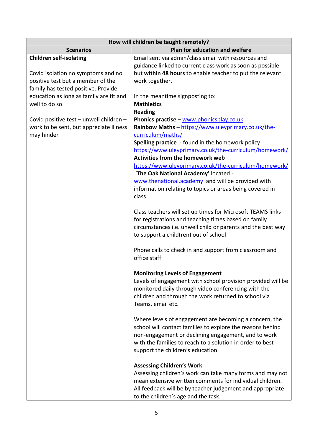| How will children be taught remotely?   |                                                                                                |  |
|-----------------------------------------|------------------------------------------------------------------------------------------------|--|
| <b>Scenarios</b>                        | Plan for education and welfare                                                                 |  |
| <b>Children self-isolating</b>          | Email sent via admin/class email with resources and                                            |  |
|                                         | guidance linked to current class work as soon as possible                                      |  |
| Covid isolation no symptoms and no      | but within 48 hours to enable teacher to put the relevant                                      |  |
| positive test but a member of the       | work together.                                                                                 |  |
| family has tested positive. Provide     |                                                                                                |  |
| education as long as family are fit and | In the meantime signposting to:                                                                |  |
| well to do so                           | <b>Mathletics</b>                                                                              |  |
|                                         | <b>Reading</b>                                                                                 |  |
| Covid positive test - unwell children - | Phonics practise - www.phonicsplay.co.uk                                                       |  |
| work to be sent, but appreciate illness | Rainbow Maths - https://www.uleyprimary.co.uk/the-                                             |  |
| may hinder                              | curriculum/maths/                                                                              |  |
|                                         | Spelling practice - found in the homework policy                                               |  |
|                                         | https://www.uleyprimary.co.uk/the-curriculum/homework/                                         |  |
|                                         | <b>Activities from the homework web</b>                                                        |  |
|                                         | https://www.uleyprimary.co.uk/the-curriculum/homework/<br>'The Oak National Academy' located - |  |
|                                         | www.thenational.academy and will be provided with                                              |  |
|                                         | information relating to topics or areas being covered in                                       |  |
|                                         | class                                                                                          |  |
|                                         |                                                                                                |  |
|                                         | Class teachers will set up times for Microsoft TEAMS links                                     |  |
|                                         | for registrations and teaching times based on family                                           |  |
|                                         | circumstances i.e. unwell child or parents and the best way                                    |  |
|                                         | to support a child(ren) out of school                                                          |  |
|                                         |                                                                                                |  |
|                                         | Phone calls to check in and support from classroom and                                         |  |
|                                         | office staff                                                                                   |  |
|                                         |                                                                                                |  |
|                                         | <b>Monitoring Levels of Engagement</b>                                                         |  |
|                                         | Levels of engagement with school provision provided will be                                    |  |
|                                         | monitored daily through video conferencing with the                                            |  |
|                                         | children and through the work returned to school via                                           |  |
|                                         | Teams, email etc.                                                                              |  |
|                                         | Where levels of engagement are becoming a concern, the                                         |  |
|                                         | school will contact families to explore the reasons behind                                     |  |
|                                         | non-engagement or declining engagement, and to work                                            |  |
|                                         | with the families to reach to a solution in order to best                                      |  |
|                                         | support the children's education.                                                              |  |
|                                         |                                                                                                |  |
|                                         | <b>Assessing Children's Work</b>                                                               |  |
|                                         | Assessing children's work can take many forms and may not                                      |  |
|                                         | mean extensive written comments for individual children.                                       |  |
|                                         | All feedback will be by teacher judgement and appropriate                                      |  |
|                                         | to the children's age and the task.                                                            |  |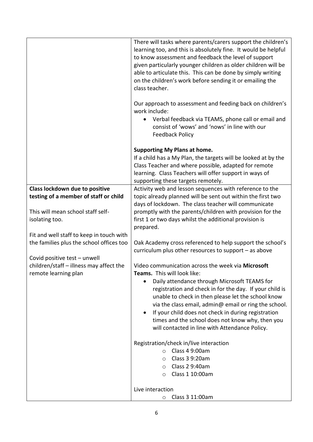|                                                                                                 | There will tasks where parents/carers support the children's<br>learning too, and this is absolutely fine. It would be helpful<br>to know assessment and feedback the level of support<br>given particularly younger children as older children will be<br>able to articulate this. This can be done by simply writing<br>on the children's work before sending it or emailing the<br>class teacher.<br>Our approach to assessment and feeding back on children's<br>work include:<br>Verbal feedback via TEAMS, phone call or email and<br>$\bullet$<br>consist of 'wows' and 'nows' in line with our<br><b>Feedback Policy</b> |  |
|-------------------------------------------------------------------------------------------------|----------------------------------------------------------------------------------------------------------------------------------------------------------------------------------------------------------------------------------------------------------------------------------------------------------------------------------------------------------------------------------------------------------------------------------------------------------------------------------------------------------------------------------------------------------------------------------------------------------------------------------|--|
|                                                                                                 | <b>Supporting My Plans at home.</b><br>If a child has a My Plan, the targets will be looked at by the<br>Class Teacher and where possible, adapted for remote<br>learning. Class Teachers will offer support in ways of<br>supporting these targets remotely.                                                                                                                                                                                                                                                                                                                                                                    |  |
| Class lockdown due to positive                                                                  | Activity web and lesson sequences with reference to the                                                                                                                                                                                                                                                                                                                                                                                                                                                                                                                                                                          |  |
| testing of a member of staff or child                                                           | topic already planned will be sent out within the first two<br>days of lockdown. The class teacher will communicate                                                                                                                                                                                                                                                                                                                                                                                                                                                                                                              |  |
| This will mean school staff self-<br>isolating too.                                             | promptly with the parents/children with provision for the<br>first 1 or two days whilst the additional provision is<br>prepared.                                                                                                                                                                                                                                                                                                                                                                                                                                                                                                 |  |
| Fit and well staff to keep in touch with                                                        |                                                                                                                                                                                                                                                                                                                                                                                                                                                                                                                                                                                                                                  |  |
| the families plus the school offices too                                                        | Oak Academy cross referenced to help support the school's<br>curriculum plus other resources to support - as above                                                                                                                                                                                                                                                                                                                                                                                                                                                                                                               |  |
| Covid positive test - unwell<br>children/staff - illness may affect the<br>remote learning plan | Video communication across the week via Microsoft<br>Teams. This will look like:                                                                                                                                                                                                                                                                                                                                                                                                                                                                                                                                                 |  |
|                                                                                                 | Daily attendance through Microsoft TEAMS for<br>registration and check in for the day. If your child is<br>unable to check in then please let the school know<br>via the class email, admin@ email or ring the school.<br>If your child does not check in during registration<br>times and the school does not know why, then you<br>will contacted in line with Attendance Policy.                                                                                                                                                                                                                                              |  |
|                                                                                                 | Registration/check in/live interaction                                                                                                                                                                                                                                                                                                                                                                                                                                                                                                                                                                                           |  |
|                                                                                                 | Class 4 9:00am<br>$\circ$                                                                                                                                                                                                                                                                                                                                                                                                                                                                                                                                                                                                        |  |
|                                                                                                 | Class 3 9:20am<br>$\circ$                                                                                                                                                                                                                                                                                                                                                                                                                                                                                                                                                                                                        |  |
|                                                                                                 | Class 2 9:40am<br>$\circ$                                                                                                                                                                                                                                                                                                                                                                                                                                                                                                                                                                                                        |  |
|                                                                                                 | Class 1 10:00am<br>$\circ$                                                                                                                                                                                                                                                                                                                                                                                                                                                                                                                                                                                                       |  |
|                                                                                                 | Live interaction                                                                                                                                                                                                                                                                                                                                                                                                                                                                                                                                                                                                                 |  |
|                                                                                                 | Class 3 11:00am<br>$\circ$                                                                                                                                                                                                                                                                                                                                                                                                                                                                                                                                                                                                       |  |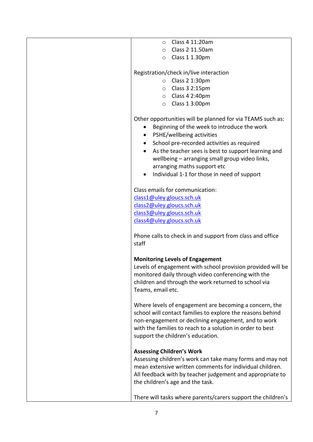| Class 4 11:20am<br>$\circ$                                                                                                                                                                                                                                                                                                                                                                                         |
|--------------------------------------------------------------------------------------------------------------------------------------------------------------------------------------------------------------------------------------------------------------------------------------------------------------------------------------------------------------------------------------------------------------------|
| Class 2 11.50am<br>$\circ$                                                                                                                                                                                                                                                                                                                                                                                         |
| Class 1 1.30pm<br>$\circ$                                                                                                                                                                                                                                                                                                                                                                                          |
|                                                                                                                                                                                                                                                                                                                                                                                                                    |
| Registration/check in/live interaction                                                                                                                                                                                                                                                                                                                                                                             |
| Class 2 1:30pm<br>$\circ$                                                                                                                                                                                                                                                                                                                                                                                          |
|                                                                                                                                                                                                                                                                                                                                                                                                                    |
| $\circ$ Class 3 2:15pm                                                                                                                                                                                                                                                                                                                                                                                             |
| $\circ$ Class 4 2:40pm                                                                                                                                                                                                                                                                                                                                                                                             |
| $\circ$ Class 1 3:00pm                                                                                                                                                                                                                                                                                                                                                                                             |
| Other opportunities will be planned for via TEAMS such as:<br>Beginning of the week to introduce the work<br>PSHE/wellbeing activities<br>$\bullet$<br>School pre-recorded activities as required<br>$\bullet$<br>As the teacher sees is best to support learning and<br>$\bullet$<br>wellbeing - arranging small group video links,<br>arranging maths support etc<br>Individual 1-1 for those in need of support |
|                                                                                                                                                                                                                                                                                                                                                                                                                    |
| Class emails for communication:                                                                                                                                                                                                                                                                                                                                                                                    |
| class1@uley.gloucs.sch.uk                                                                                                                                                                                                                                                                                                                                                                                          |
| class2@uley.gloucs.sch.uk                                                                                                                                                                                                                                                                                                                                                                                          |
| class3@uley.gloucs.sch.uk                                                                                                                                                                                                                                                                                                                                                                                          |
| class4@uley.gloucs.sch.uk                                                                                                                                                                                                                                                                                                                                                                                          |
|                                                                                                                                                                                                                                                                                                                                                                                                                    |
| Phone calls to check in and support from class and office<br>staff                                                                                                                                                                                                                                                                                                                                                 |
| <b>Monitoring Levels of Engagement</b>                                                                                                                                                                                                                                                                                                                                                                             |
| Levels of engagement with school provision provided will be<br>monitored daily through video conferencing with the<br>children and through the work returned to school via<br>Teams, email etc.                                                                                                                                                                                                                    |
| Where levels of engagement are becoming a concern, the<br>school will contact families to explore the reasons behind<br>non-engagement or declining engagement, and to work<br>with the families to reach to a solution in order to best<br>support the children's education.                                                                                                                                      |
| <b>Assessing Children's Work</b><br>Assessing children's work can take many forms and may not<br>mean extensive written comments for individual children.<br>All feedback with by teacher judgement and appropriate to<br>the children's age and the task.                                                                                                                                                         |
| There will tasks where parents/carers support the children's                                                                                                                                                                                                                                                                                                                                                       |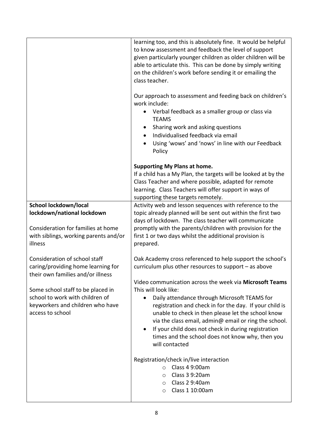|                                                                         | learning too, and this is absolutely fine. It would be helpful<br>to know assessment and feedback the level of support<br>given particularly younger children as older children will be<br>able to articulate this. This can be done by simply writing<br>on the children's work before sending it or emailing the<br>class teacher. |  |
|-------------------------------------------------------------------------|--------------------------------------------------------------------------------------------------------------------------------------------------------------------------------------------------------------------------------------------------------------------------------------------------------------------------------------|--|
|                                                                         | Our approach to assessment and feeding back on children's<br>work include:<br>Verbal feedback as a smaller group or class via<br>$\bullet$<br><b>TEAMS</b><br>Sharing work and asking questions<br>$\bullet$<br>Individualised feedback via email<br>$\bullet$<br>Using 'wows' and 'nows' in line with our Feedback<br>Policy        |  |
|                                                                         | <b>Supporting My Plans at home.</b><br>If a child has a My Plan, the targets will be looked at by the<br>Class Teacher and where possible, adapted for remote<br>learning. Class Teachers will offer support in ways of<br>supporting these targets remotely.                                                                        |  |
| School lockdown/local                                                   | Activity web and lesson sequences with reference to the<br>topic already planned will be sent out within the first two                                                                                                                                                                                                               |  |
| lockdown/national lockdown                                              | days of lockdown. The class teacher will communicate                                                                                                                                                                                                                                                                                 |  |
| Consideration for families at home                                      | promptly with the parents/children with provision for the                                                                                                                                                                                                                                                                            |  |
| with siblings, working parents and/or                                   | first 1 or two days whilst the additional provision is                                                                                                                                                                                                                                                                               |  |
| illness                                                                 | prepared.                                                                                                                                                                                                                                                                                                                            |  |
| Consideration of school staff                                           | Oak Academy cross referenced to help support the school's                                                                                                                                                                                                                                                                            |  |
| caring/providing home learning for<br>their own families and/or illness | curriculum plus other resources to support $-$ as above                                                                                                                                                                                                                                                                              |  |
|                                                                         | Video communication across the week via Microsoft Teams                                                                                                                                                                                                                                                                              |  |
| Some school staff to be placed in                                       | This will look like:                                                                                                                                                                                                                                                                                                                 |  |
| school to work with children of<br>keyworkers and children who have     | Daily attendance through Microsoft TEAMS for<br>٠                                                                                                                                                                                                                                                                                    |  |
| access to school                                                        | registration and check in for the day. If your child is<br>unable to check in then please let the school know                                                                                                                                                                                                                        |  |
|                                                                         | via the class email, admin@ email or ring the school.                                                                                                                                                                                                                                                                                |  |
|                                                                         | If your child does not check in during registration<br>$\bullet$                                                                                                                                                                                                                                                                     |  |
|                                                                         | times and the school does not know why, then you                                                                                                                                                                                                                                                                                     |  |
|                                                                         | will contacted                                                                                                                                                                                                                                                                                                                       |  |
|                                                                         | Registration/check in/live interaction<br>Class 4 9:00am<br>$\Omega$                                                                                                                                                                                                                                                                 |  |
|                                                                         | Class 3 9:20am<br>$\circ$                                                                                                                                                                                                                                                                                                            |  |
|                                                                         | Class 2 9:40am<br>$\circ$                                                                                                                                                                                                                                                                                                            |  |
|                                                                         | Class 1 10:00am<br>$\circ$                                                                                                                                                                                                                                                                                                           |  |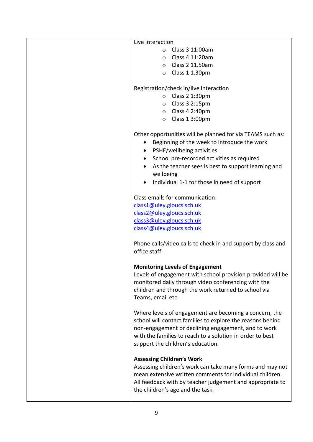| Live interaction                                                                                      |
|-------------------------------------------------------------------------------------------------------|
| Class 3 11:00am<br>$\circ$                                                                            |
| $\circ$ Class 4 11:20am                                                                               |
| $\circ$ Class 2 11.50am                                                                               |
| $\circ$ Class 1 1.30pm                                                                                |
|                                                                                                       |
| Registration/check in/live interaction                                                                |
| $\circ$ Class 2 1:30pm                                                                                |
| $\circ$ Class 3 2:15pm                                                                                |
| $\circ$ Class 4 2:40pm                                                                                |
| Class 1 3:00pm<br>$\circ$                                                                             |
|                                                                                                       |
| Other opportunities will be planned for via TEAMS such as:                                            |
| Beginning of the week to introduce the work<br>$\bullet$                                              |
| PSHE/wellbeing activities<br>$\bullet$                                                                |
| School pre-recorded activities as required<br>$\bullet$                                               |
| As the teacher sees is best to support learning and<br>wellbeing                                      |
| Individual 1-1 for those in need of support                                                           |
| Class emails for communication:                                                                       |
| class1@uley.gloucs.sch.uk                                                                             |
| class2@uley.gloucs.sch.uk                                                                             |
| class3@uley.gloucs.sch.uk                                                                             |
| class4@uley.gloucs.sch.uk                                                                             |
|                                                                                                       |
| Phone calls/video calls to check in and support by class and<br>office staff                          |
|                                                                                                       |
| <b>Monitoring Levels of Engagement</b><br>Levels of engagement with school provision provided will be |
| monitored daily through video conferencing with the                                                   |
| children and through the work returned to school via                                                  |
| Teams, email etc.                                                                                     |
|                                                                                                       |
| Where levels of engagement are becoming a concern, the                                                |
| school will contact families to explore the reasons behind                                            |
| non-engagement or declining engagement, and to work                                                   |
| with the families to reach to a solution in order to best                                             |
| support the children's education.                                                                     |
| <b>Assessing Children's Work</b>                                                                      |
| Assessing children's work can take many forms and may not                                             |
| mean extensive written comments for individual children.                                              |
| All feedback with by teacher judgement and appropriate to                                             |
| the children's age and the task.                                                                      |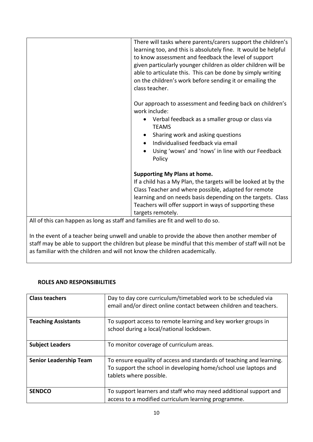|                                                                                 | There will tasks where parents/carers support the children's<br>learning too, and this is absolutely fine. It would be helpful<br>to know assessment and feedback the level of support<br>given particularly younger children as older children will be<br>able to articulate this. This can be done by simply writing<br>on the children's work before sending it or emailing the<br>class teacher. |
|---------------------------------------------------------------------------------|------------------------------------------------------------------------------------------------------------------------------------------------------------------------------------------------------------------------------------------------------------------------------------------------------------------------------------------------------------------------------------------------------|
|                                                                                 | Our approach to assessment and feeding back on children's<br>work include:<br>Verbal feedback as a smaller group or class via<br><b>TEAMS</b><br>Sharing work and asking questions<br>Individualised feedback via email<br>Using 'wows' and 'nows' in line with our Feedback<br>Policy                                                                                                               |
|                                                                                 | <b>Supporting My Plans at home.</b><br>If a child has a My Plan, the targets will be looked at by the<br>Class Teacher and where possible, adapted for remote<br>learning and on needs basis depending on the targets. Class<br>Teachers will offer support in ways of supporting these<br>targets remotely.                                                                                         |
| All of this can happen as long as staff and families are fit and well to do so. |                                                                                                                                                                                                                                                                                                                                                                                                      |

In the event of a teacher being unwell and unable to provide the above then another member of staff may be able to support the children but please be mindful that this member of staff will not be as familiar with the children and will not know the children academically.

#### **ROLES AND RESPONSIBILITIES**

| <b>Class teachers</b>         | Day to day core curriculum/timetabled work to be scheduled via<br>email and/or direct online contact between children and teachers.                                |
|-------------------------------|--------------------------------------------------------------------------------------------------------------------------------------------------------------------|
| <b>Teaching Assistants</b>    | To support access to remote learning and key worker groups in<br>school during a local/national lockdown.                                                          |
| <b>Subject Leaders</b>        | To monitor coverage of curriculum areas.                                                                                                                           |
| <b>Senior Leadership Team</b> | To ensure equality of access and standards of teaching and learning.<br>To support the school in developing home/school use laptops and<br>tablets where possible. |
| <b>SENDCO</b>                 | To support learners and staff who may need additional support and<br>access to a modified curriculum learning programme.                                           |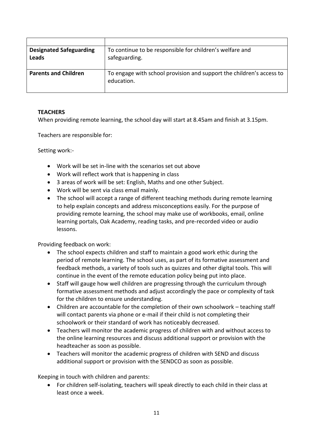| <b>Designated Safeguarding</b><br>Leads | To continue to be responsible for children's welfare and<br>safeguarding.          |
|-----------------------------------------|------------------------------------------------------------------------------------|
| <b>Parents and Children</b>             | To engage with school provision and support the children's access to<br>education. |

#### **TEACHERS**

When providing remote learning, the school day will start at 8.45am and finish at 3.15pm.

Teachers are responsible for:

Setting work:-

- Work will be set in-line with the scenarios set out above
- Work will reflect work that is happening in class
- 3 areas of work will be set: English, Maths and one other Subject.
- Work will be sent via class email mainly.
- The school will accept a range of different teaching methods during remote learning to help explain concepts and address misconceptions easily. For the purpose of providing remote learning, the school may make use of workbooks, email, online learning portals, Oak Academy, reading tasks, and pre-recorded video or audio lessons.

Providing feedback on work:

- The school expects children and staff to maintain a good work ethic during the period of remote learning. The school uses, as part of its formative assessment and feedback methods, a variety of tools such as quizzes and other digital tools. This will continue in the event of the remote education policy being put into place.
- Staff will gauge how well children are progressing through the curriculum through formative assessment methods and adjust accordingly the pace or complexity of task for the children to ensure understanding.
- Children are accountable for the completion of their own schoolwork teaching staff will contact parents via phone or e-mail if their child is not completing their schoolwork or their standard of work has noticeably decreased.
- Teachers will monitor the academic progress of children with and without access to the online learning resources and discuss additional support or provision with the headteacher as soon as possible.
- Teachers will monitor the academic progress of children with SEND and discuss additional support or provision with the SENDCO as soon as possible.

Keeping in touch with children and parents:

 For children self-isolating, teachers will speak directly to each child in their class at least once a week.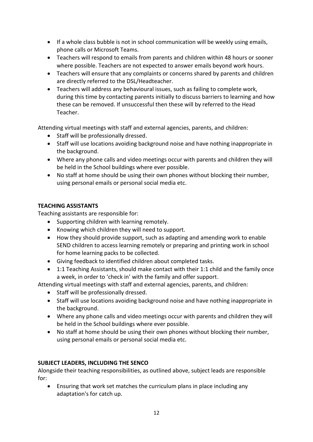- If a whole class bubble is not in school communication will be weekly using emails, phone calls or Microsoft Teams.
- Teachers will respond to emails from parents and children within 48 hours or sooner where possible. Teachers are not expected to answer emails beyond work hours.
- Teachers will ensure that any complaints or concerns shared by parents and children are directly referred to the DSL/Headteacher.
- Teachers will address any behavioural issues, such as failing to complete work, during this time by contacting parents initially to discuss barriers to learning and how these can be removed. If unsuccessful then these will by referred to the Head Teacher.

Attending virtual meetings with staff and external agencies, parents, and children:

- Staff will be professionally dressed.
- Staff will use locations avoiding background noise and have nothing inappropriate in the background.
- Where any phone calls and video meetings occur with parents and children they will be held in the School buildings where ever possible.
- No staff at home should be using their own phones without blocking their number, using personal emails or personal social media etc.

#### **TEACHING ASSISTANTS**

Teaching assistants are responsible for:

- Supporting children with learning remotely.
- Knowing which children they will need to support.
- How they should provide support, such as adapting and amending work to enable SEND children to access learning remotely or preparing and printing work in school for home learning packs to be collected.
- Giving feedback to identified children about completed tasks.
- 1:1 Teaching Assistants, should make contact with their 1:1 child and the family once a week, in order to 'check in' with the family and offer support.

Attending virtual meetings with staff and external agencies, parents, and children:

- Staff will be professionally dressed.
- Staff will use locations avoiding background noise and have nothing inappropriate in the background.
- Where any phone calls and video meetings occur with parents and children they will be held in the School buildings where ever possible.
- No staff at home should be using their own phones without blocking their number, using personal emails or personal social media etc.

#### **SUBJECT LEADERS, INCLUDING THE SENCO**

Alongside their teaching responsibilities, as outlined above, subject leads are responsible for:

 Ensuring that work set matches the curriculum plans in place including any adaptation's for catch up.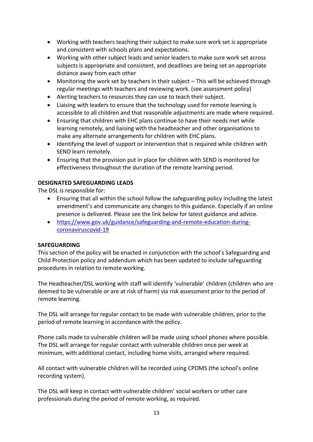- Working with teachers teaching their subject to make sure work set is appropriate and consistent with schools plans and expectations.
- Working with other subject leads and senior leaders to make sure work set across subjects is appropriate and consistent, and deadlines are being set an appropriate distance away from each other
- Monitoring the work set by teachers in their subject This will be achieved through regular meetings with teachers and reviewing work. (see assessment policy)
- Alerting teachers to resources they can use to teach their subject.
- Liaising with leaders to ensure that the technology used for remote learning is accessible to all children and that reasonable adjustments are made where required.
- Ensuring that children with EHC plans continue to have their needs met while learning remotely, and liaising with the headteacher and other organisations to make any alternate arrangements for children with EHC plans.
- Identifying the level of support or intervention that is required while children with SEND learn remotely.
- Ensuring that the provision put in place for children with SEND is monitored for effectiveness throughout the duration of the remote learning period.

#### **DESIGNATED SAFEGUARDING LEADS**

The DSL is responsible for:

- Ensuring that all within the school follow the safeguarding policy including the latest amendment's and communicate any changes to this guidance. Especially if an online presence is delivered. Please see the link below for latest guidance and advice.
- [https://www.gov.uk/guidance/safeguarding-and-remote-education-during](https://www.gov.uk/guidance/safeguarding-and-remote-education-during-coronaviruscovid-19)[coronaviruscovid-19](https://www.gov.uk/guidance/safeguarding-and-remote-education-during-coronaviruscovid-19)

#### **SAFEGUARDING**

This section of the policy will be enacted in conjunction with the school's Safeguarding and Child Protection policy and addendum which has been updated to include safeguarding procedures in relation to remote working.

The Headteacher/DSL working with staff will identify 'vulnerable' children (children who are deemed to be vulnerable or are at risk of harm) via risk assessment prior to the period of remote learning.

The DSL will arrange for regular contact to be made with vulnerable children, prior to the period of remote learning in accordance with the policy.

Phone calls made to vulnerable children will be made using school phones where possible. The DSL will arrange for regular contact with vulnerable children once per week at minimum, with additional contact, including home visits, arranged where required.

All contact with vulnerable children will be recorded using CPOMS (the school's online recording system).

The DSL will keep in contact with vulnerable children' social workers or other care professionals during the period of remote working, as required.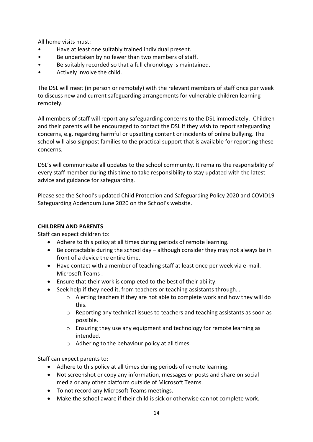All home visits must:

- Have at least one suitably trained individual present.
- Be undertaken by no fewer than two members of staff.
- Be suitably recorded so that a full chronology is maintained.
- Actively involve the child.

The DSL will meet (in person or remotely) with the relevant members of staff once per week to discuss new and current safeguarding arrangements for vulnerable children learning remotely.

All members of staff will report any safeguarding concerns to the DSL immediately. Children and their parents will be encouraged to contact the DSL if they wish to report safeguarding concerns, e.g. regarding harmful or upsetting content or incidents of online bullying. The school will also signpost families to the practical support that is available for reporting these concerns.

DSL's will communicate all updates to the school community. It remains the responsibility of every staff member during this time to take responsibility to stay updated with the latest advice and guidance for safeguarding.

Please see the School's updated Child Protection and Safeguarding Policy 2020 and COVID19 Safeguarding Addendum June 2020 on the School's website.

#### **CHILDREN AND PARENTS**

Staff can expect children to:

- Adhere to this policy at all times during periods of remote learning.
- Be contactable during the school day although consider they may not always be in front of a device the entire time.
- Have contact with a member of teaching staff at least once per week via e-mail. Microsoft Teams .
- Ensure that their work is completed to the best of their ability.
- Seek help if they need it, from teachers or teaching assistants through....
	- $\circ$  Alerting teachers if they are not able to complete work and how they will do this.
	- o Reporting any technical issues to teachers and teaching assistants as soon as possible.
	- o Ensuring they use any equipment and technology for remote learning as intended.
	- o Adhering to the behaviour policy at all times.

Staff can expect parents to:

- Adhere to this policy at all times during periods of remote learning.
- Not screenshot or copy any information, messages or posts and share on social media or any other platform outside of Microsoft Teams.
- To not record any Microsoft Teams meetings.
- Make the school aware if their child is sick or otherwise cannot complete work.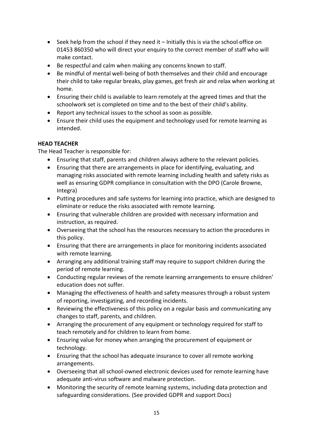- $\bullet$  Seek help from the school if they need it Initially this is via the school office on 01453 860350 who will direct your enquiry to the correct member of staff who will make contact.
- Be respectful and calm when making any concerns known to staff.
- Be mindful of mental well-being of both themselves and their child and encourage their child to take regular breaks, play games, get fresh air and relax when working at home.
- Ensuring their child is available to learn remotely at the agreed times and that the schoolwork set is completed on time and to the best of their child's ability.
- Report any technical issues to the school as soon as possible.
- Ensure their child uses the equipment and technology used for remote learning as intended.

#### **HEAD TEACHER**

The Head Teacher is responsible for:

- Ensuring that staff, parents and children always adhere to the relevant policies.
- Ensuring that there are arrangements in place for identifying, evaluating, and managing risks associated with remote learning including health and safety risks as well as ensuring GDPR compliance in consultation with the DPO (Carole Browne, Integra)
- Putting procedures and safe systems for learning into practice, which are designed to eliminate or reduce the risks associated with remote learning.
- Ensuring that vulnerable children are provided with necessary information and instruction, as required.
- Overseeing that the school has the resources necessary to action the procedures in this policy.
- Ensuring that there are arrangements in place for monitoring incidents associated with remote learning.
- Arranging any additional training staff may require to support children during the period of remote learning.
- Conducting regular reviews of the remote learning arrangements to ensure children' education does not suffer.
- Managing the effectiveness of health and safety measures through a robust system of reporting, investigating, and recording incidents.
- Reviewing the effectiveness of this policy on a regular basis and communicating any changes to staff, parents, and children.
- Arranging the procurement of any equipment or technology required for staff to teach remotely and for children to learn from home.
- Ensuring value for money when arranging the procurement of equipment or technology.
- Ensuring that the school has adequate insurance to cover all remote working arrangements.
- Overseeing that all school-owned electronic devices used for remote learning have adequate anti-virus software and malware protection.
- Monitoring the security of remote learning systems, including data protection and safeguarding considerations. (See provided GDPR and support Docs)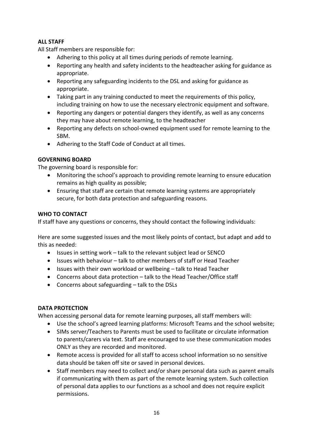#### **ALL STAFF**

All Staff members are responsible for:

- Adhering to this policy at all times during periods of remote learning.
- Reporting any health and safety incidents to the headteacher asking for guidance as appropriate.
- Reporting any safeguarding incidents to the DSL and asking for guidance as appropriate.
- Taking part in any training conducted to meet the requirements of this policy, including training on how to use the necessary electronic equipment and software.
- Reporting any dangers or potential dangers they identify, as well as any concerns they may have about remote learning, to the headteacher
- Reporting any defects on school-owned equipment used for remote learning to the SBM.
- Adhering to the Staff Code of Conduct at all times.

#### **GOVERNING BOARD**

The governing board is responsible for:

- Monitoring the school's approach to providing remote learning to ensure education remains as high quality as possible;
- Ensuring that staff are certain that remote learning systems are appropriately secure, for both data protection and safeguarding reasons.

#### **WHO TO CONTACT**

If staff have any questions or concerns, they should contact the following individuals:

Here are some suggested issues and the most likely points of contact, but adapt and add to this as needed:

- Issues in setting work talk to the relevant subject lead or SENCO
- Issues with behaviour talk to other members of staff or Head Teacher
- Issues with their own workload or wellbeing talk to Head Teacher
- Concerns about data protection talk to the Head Teacher/Office staff
- Concerns about safeguarding talk to the DSLs

#### **DATA PROTECTION**

When accessing personal data for remote learning purposes, all staff members will:

- Use the school's agreed learning platforms: Microsoft Teams and the school website;
- SIMs server/Teachers to Parents must be used to facilitate or circulate information to parents/carers via text. Staff are encouraged to use these communication modes ONLY as they are recorded and monitored.
- Remote access is provided for all staff to access school information so no sensitive data should be taken off site or saved in personal devices.
- Staff members may need to collect and/or share personal data such as parent emails if communicating with them as part of the remote learning system. Such collection of personal data applies to our functions as a school and does not require explicit permissions.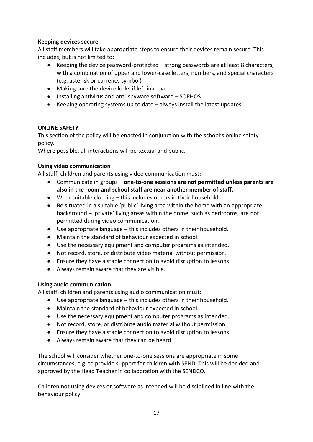#### **Keeping devices secure**

All staff members will take appropriate steps to ensure their devices remain secure. This includes, but is not limited to:

- Keeping the device password-protected strong passwords are at least 8 characters, with a combination of upper and lower-case letters, numbers, and special characters (e.g. asterisk or currency symbol)
- Making sure the device locks if left inactive
- $\bullet$  Installing antivirus and anti-spyware software SOPHOS
- Keeping operating systems up to date always install the latest updates

#### **ONLINE SAFETY**

This section of the policy will be enacted in conjunction with the school's online safety policy.

Where possible, all interactions will be textual and public.

#### **Using video communication**

All staff, children and parents using video communication must:

- Communicate in groups **one-to-one sessions are not permitted unless parents are also in the room and school staff are near another member of staff.**
- Wear suitable clothing this includes others in their household.
- Be situated in a suitable 'public' living area within the home with an appropriate background – 'private' living areas within the home, such as bedrooms, are not permitted during video communication.
- Use appropriate language this includes others in their household.
- Maintain the standard of behaviour expected in school.
- Use the necessary equipment and computer programs as intended.
- Not record, store, or distribute video material without permission.
- Ensure they have a stable connection to avoid disruption to lessons.
- Always remain aware that they are visible.

#### **Using audio communication**

All staff, children and parents using audio communication must:

- Use appropriate language this includes others in their household.
- Maintain the standard of behaviour expected in school.
- Use the necessary equipment and computer programs as intended.
- Not record, store, or distribute audio material without permission.
- Ensure they have a stable connection to avoid disruption to lessons.
- Always remain aware that they can be heard.

The school will consider whether one-to-one sessions are appropriate in some circumstances, e.g. to provide support for children with SEND. This will be decided and approved by the Head Teacher in collaboration with the SENDCO.

Children not using devices or software as intended will be disciplined in line with the behaviour policy.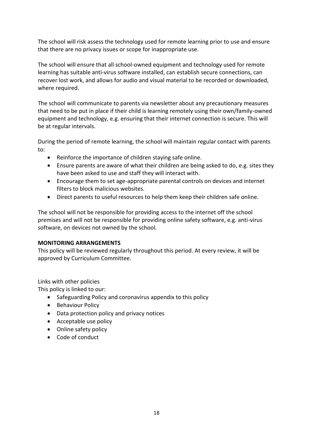The school will risk assess the technology used for remote learning prior to use and ensure that there are no privacy issues or scope for inappropriate use.

The school will ensure that all school-owned equipment and technology used for remote learning has suitable anti-virus software installed, can establish secure connections, can recover lost work, and allows for audio and visual material to be recorded or downloaded, where required.

The school will communicate to parents via newsletter about any precautionary measures that need to be put in place if their child is learning remotely using their own/family-owned equipment and technology, e.g. ensuring that their internet connection is secure. This will be at regular intervals.

During the period of remote learning, the school will maintain regular contact with parents to:

- Reinforce the importance of children staying safe online.
- Ensure parents are aware of what their children are being asked to do, e.g. sites they have been asked to use and staff they will interact with.
- Encourage them to set age-appropriate parental controls on devices and internet filters to block malicious websites.
- Direct parents to useful resources to help them keep their children safe online.

The school will not be responsible for providing access to the internet off the school premises and will not be responsible for providing online safety software, e.g. anti-virus software, on devices not owned by the school.

#### **MONITORING ARRANGEMENTS**

This policy will be reviewed regularly throughout this period. At every review, it will be approved by Curriculum Committee.

Links with other policies

This policy is linked to our:

- Safeguarding Policy and coronavirus appendix to this policy
- Behaviour Policy
- Data protection policy and privacy notices
- Acceptable use policy
- Online safety policy
- Code of conduct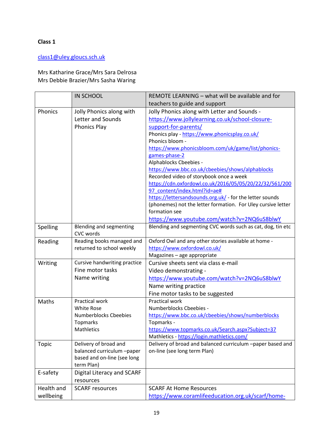#### [class1@uley.gloucs.sch.uk](mailto:class1@uley.gloucs.sch.uk)

#### Mrs Katharine Grace/Mrs Sara Delrosa Mrs Debbie Brazier/Mrs Sasha Waring

|            | <b>IN SCHOOL</b>                                   | REMOTE LEARNING - what will be available and for             |
|------------|----------------------------------------------------|--------------------------------------------------------------|
|            |                                                    | teachers to guide and support                                |
| Phonics    | Jolly Phonics along with                           | Jolly Phonics along with Letter and Sounds -                 |
|            | Letter and Sounds                                  | https://www.jollylearning.co.uk/school-closure-              |
|            | <b>Phonics Play</b>                                | support-for-parents/                                         |
|            |                                                    | Phonics play - https://www.phonicsplay.co.uk/                |
|            |                                                    | Phonics bloom -                                              |
|            |                                                    | https://www.phonicsbloom.com/uk/game/list/phonics-           |
|            |                                                    | games-phase-2                                                |
|            |                                                    | Alphablocks Cbeebies -                                       |
|            |                                                    | https://www.bbc.co.uk/cbeebies/shows/alphablocks             |
|            |                                                    | Recorded video of storybook once a week                      |
|            |                                                    | https://cdn.oxfordowl.co.uk/2016/05/05/20/22/32/561/200      |
|            |                                                    | 97 content/index.html?id=ae#                                 |
|            |                                                    | https://lettersandsounds.org.uk/ - for the letter sounds     |
|            |                                                    | (phonemes) not the letter formation. For Uley cursive letter |
|            |                                                    | formation see                                                |
|            |                                                    | https://www.youtube.com/watch?v=2NQ6uS8blwY                  |
| Spelling   | <b>Blending and segmenting</b><br><b>CVC</b> words | Blending and segmenting CVC words such as cat, dog, tin etc  |
| Reading    | Reading books managed and                          | Oxford Owl and any other stories available at home -         |
|            | returned to school weekly                          | https://www.oxfordowl.co.uk/                                 |
|            |                                                    | Magazines - age appropriate                                  |
| Writing    | Cursive handwriting practice                       | Cursive sheets sent via class e-mail                         |
|            | Fine motor tasks                                   | Video demonstrating -                                        |
|            | Name writing                                       | https://www.youtube.com/watch?v=2NQ6uS8blwY                  |
|            |                                                    | Name writing practice                                        |
|            |                                                    | Fine motor tasks to be suggested                             |
| Maths      | Practical work                                     | <b>Practical work</b>                                        |
|            | <b>White Rose</b>                                  | Numberblocks Cbeebies -                                      |
|            | <b>Numberblocks Cbeebies</b>                       | https://www.bbc.co.uk/cbeebies/shows/numberblocks            |
|            | Topmarks                                           | Topmarks -                                                   |
|            | Mathletics                                         | https://www.topmarks.co.uk/Search.aspx?Subject=37            |
|            |                                                    | Mathletics - https://login.mathletics.com/                   |
| Topic      | Delivery of broad and                              | Delivery of broad and balanced curriculum -paper based and   |
|            | balanced curriculum -paper                         | on-line (see long term Plan)                                 |
|            | based and on-line (see long                        |                                                              |
|            | term Plan)                                         |                                                              |
| E-safety   | Digital Literacy and SCARF                         |                                                              |
|            | resources                                          |                                                              |
| Health and | <b>SCARF</b> resources                             | <b>SCARF At Home Resources</b>                               |
| wellbeing  |                                                    | https://www.coramlifeeducation.org.uk/scarf/home-            |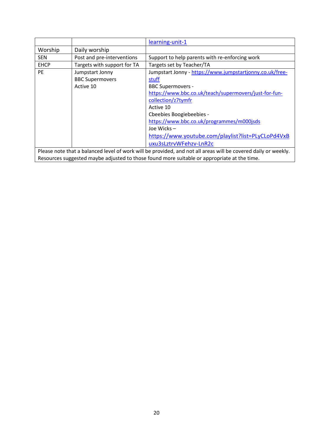|                                                                                                                |                                                        | learning-unit-1                                                                                                                                                                                                                                                                                                                           |
|----------------------------------------------------------------------------------------------------------------|--------------------------------------------------------|-------------------------------------------------------------------------------------------------------------------------------------------------------------------------------------------------------------------------------------------------------------------------------------------------------------------------------------------|
| Worship                                                                                                        | Daily worship                                          |                                                                                                                                                                                                                                                                                                                                           |
| <b>SEN</b>                                                                                                     | Post and pre-interventions                             | Support to help parents with re-enforcing work                                                                                                                                                                                                                                                                                            |
| <b>EHCP</b>                                                                                                    | Targets with support for TA                            | Targets set by Teacher/TA                                                                                                                                                                                                                                                                                                                 |
| <b>PE</b>                                                                                                      | Jumpstart Jonny<br><b>BBC Supermovers</b><br>Active 10 | Jumpstart Jonny - https://www.jumpstartjonny.co.uk/free-<br>stuff<br><b>BBC Supermovers -</b><br>https://www.bbc.co.uk/teach/supermovers/just-for-fun-<br>collection/z7tymfr<br>Active 10<br>Cheebies Boogiebeebies -<br>https://www.bbc.co.uk/programmes/m000jsds<br>Joe Wicks $-$<br>https://www.youtube.com/playlist?list=PLyCLoPd4VxB |
|                                                                                                                |                                                        | uxu3sLztrvWFehzv-LnR2c                                                                                                                                                                                                                                                                                                                    |
| Please note that a balanced level of work will be provided, and not all areas will be covered daily or weekly. |                                                        |                                                                                                                                                                                                                                                                                                                                           |
| Resources suggested maybe adjusted to those found more suitable or appropriate at the time.                    |                                                        |                                                                                                                                                                                                                                                                                                                                           |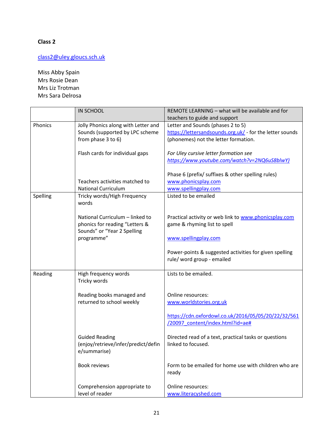#### [class2@uley.gloucs.sch.uk](mailto:class2@uley.gloucs.sch.uk)

Miss Abby Spain Mrs Rosie Dean Mrs Liz Trotman Mrs Sara Delrosa

|          | <b>IN SCHOOL</b>                    | REMOTE LEARNING - what will be available and for         |
|----------|-------------------------------------|----------------------------------------------------------|
|          |                                     | teachers to guide and support                            |
| Phonics  | Jolly Phonics along with Letter and | Letter and Sounds (phases 2 to 5)                        |
|          | Sounds (supported by LPC scheme     | https://lettersandsounds.org.uk/ - for the letter sounds |
|          | from phase 3 to 6)                  | (phonemes) not the letter formation.                     |
|          |                                     |                                                          |
|          | Flash cards for individual gaps     | For Uley cursive letter formation see                    |
|          |                                     | https://www.youtube.com/watch?v=2NQ6uS8blwY)             |
|          |                                     | Phase 6 (prefix/ suffixes & other spelling rules)        |
|          | Teachers activities matched to      | www.phonicsplay.com                                      |
|          | <b>National Curriculum</b>          | www.spellingplay.com                                     |
| Spelling | Tricky words/High Frequency         | Listed to be emailed                                     |
|          | words                               |                                                          |
|          |                                     |                                                          |
|          | National Curriculum - linked to     | Practical activity or web link to www.phonicsplay.com    |
|          | phonics for reading "Letters &      | game & rhyming list to spell                             |
|          | Sounds" or "Year 2 Spelling         |                                                          |
|          | programme"                          | www.spellingplay.com                                     |
|          |                                     |                                                          |
|          |                                     | Power-points & suggested activities for given spelling   |
|          |                                     | rule/ word group - emailed                               |
|          |                                     |                                                          |
| Reading  | High frequency words                | Lists to be emailed.                                     |
|          | Tricky words                        |                                                          |
|          |                                     |                                                          |
|          | Reading books managed and           | Online resources:                                        |
|          | returned to school weekly           | www.worldstories.org.uk                                  |
|          |                                     |                                                          |
|          |                                     | https://cdn.oxfordowl.co.uk/2016/05/05/20/22/32/561      |
|          |                                     | /20097_content/index.html?id=ae#                         |
|          |                                     |                                                          |
|          | <b>Guided Reading</b>               | Directed read of a text, practical tasks or questions    |
|          | (enjoy/retrieve/infer/predict/defin | linked to focused.                                       |
|          | e/summarise)                        |                                                          |
|          |                                     |                                                          |
|          | <b>Book reviews</b>                 | Form to be emailed for home use with children who are    |
|          |                                     | ready                                                    |
|          |                                     |                                                          |
|          | Comprehension appropriate to        | Online resources:                                        |
|          | level of reader                     | www.literacyshed.com                                     |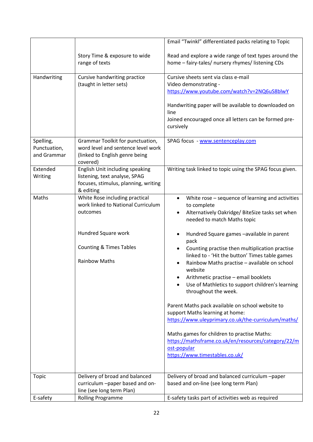|              |                                                 | Email "Twinkl" differentiated packs relating to Topic                                                                 |
|--------------|-------------------------------------------------|-----------------------------------------------------------------------------------------------------------------------|
|              | Story Time & exposure to wide<br>range of texts | Read and explore a wide range of text types around the<br>home - fairy-tales/ nursery rhymes/ listening CDs           |
| Handwriting  | Cursive handwriting practice                    | Cursive sheets sent via class e-mail                                                                                  |
|              | (taught in letter sets)                         | Video demonstrating -                                                                                                 |
|              |                                                 | https://www.youtube.com/watch?v=2NQ6uS8blwY                                                                           |
|              |                                                 | Handwriting paper will be available to downloaded on<br>line<br>Joined encouraged once all letters can be formed pre- |
|              |                                                 | cursively                                                                                                             |
| Spelling,    | Grammar Toolkit for punctuation,                | SPAG focus - www.sentenceplay.com                                                                                     |
| Punctuation, | word level and sentence level work              |                                                                                                                       |
| and Grammar  | (linked to English genre being                  |                                                                                                                       |
|              | covered)                                        |                                                                                                                       |
| Extended     | English Unit including speaking                 | Writing task linked to topic using the SPAG focus given.                                                              |
| Writing      | listening, text analyse, SPAG                   |                                                                                                                       |
|              | focuses, stimulus, planning, writing            |                                                                                                                       |
|              | & editing                                       |                                                                                                                       |
| Maths        | White Rose including practical                  | White rose - sequence of learning and activities<br>$\bullet$                                                         |
|              | work linked to National Curriculum              | to complete                                                                                                           |
|              | outcomes                                        | Alternatively Oakridge/ BiteSize tasks set when                                                                       |
|              |                                                 | needed to match Maths topic                                                                                           |
|              | Hundred Square work                             | Hundred Square games -available in parent<br>٠<br>pack                                                                |
|              | <b>Counting &amp; Times Tables</b>              | Counting practise then multiplication practise<br>linked to - 'Hit the button' Times table games                      |
|              | <b>Rainbow Maths</b>                            | Rainbow Maths practise - available on school<br>website                                                               |
|              |                                                 | Arithmetic practise - email booklets                                                                                  |
|              |                                                 | Use of Mathletics to support children's learning<br>throughout the week.                                              |
|              |                                                 | Parent Maths pack available on school website to                                                                      |
|              |                                                 | support Maths learning at home:<br>https://www.uleyprimary.co.uk/the-curriculum/maths/                                |
|              |                                                 |                                                                                                                       |
|              |                                                 | Maths games for children to practise Maths:                                                                           |
|              |                                                 | https://mathsframe.co.uk/en/resources/category/22/m                                                                   |
|              |                                                 | ost-popular                                                                                                           |
|              |                                                 | https://www.timestables.co.uk/                                                                                        |
|              |                                                 |                                                                                                                       |
| <b>Topic</b> | Delivery of broad and balanced                  | Delivery of broad and balanced curriculum -paper                                                                      |
|              | curriculum -paper based and on-                 | based and on-line (see long term Plan)                                                                                |
|              | line (see long term Plan)                       |                                                                                                                       |
| E-safety     | <b>Rolling Programme</b>                        | E-safety tasks part of activities web as required                                                                     |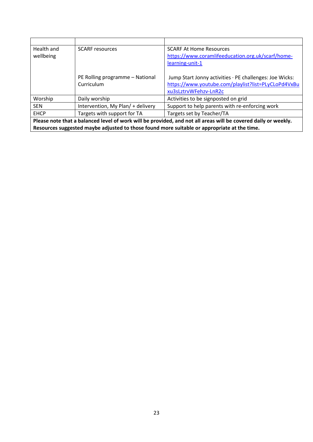| Health and<br>wellbeing                                                                                        | <b>SCARF</b> resources                        | <b>SCARF At Home Resources</b><br>https://www.coramlifeeducation.org.uk/scarf/home-<br>learning-unit-1                                  |  |  |
|----------------------------------------------------------------------------------------------------------------|-----------------------------------------------|-----------------------------------------------------------------------------------------------------------------------------------------|--|--|
|                                                                                                                | PE Rolling programme - National<br>Curriculum | Jump Start Jonny activities · PE challenges: Joe Wicks:<br>https://www.youtube.com/playlist?list=PLyCLoPd4VxBu<br>xu3sLztrvWFehzv-LnR2c |  |  |
| Worship                                                                                                        | Daily worship                                 | Activities to be signposted on grid                                                                                                     |  |  |
| <b>SEN</b>                                                                                                     | Intervention, My Plan/ + delivery             | Support to help parents with re-enforcing work                                                                                          |  |  |
| <b>EHCP</b>                                                                                                    | Targets with support for TA                   | Targets set by Teacher/TA                                                                                                               |  |  |
| Please note that a balanced level of work will be provided, and not all areas will be covered daily or weekly. |                                               |                                                                                                                                         |  |  |
| Resources suggested maybe adjusted to those found more suitable or appropriate at the time.                    |                                               |                                                                                                                                         |  |  |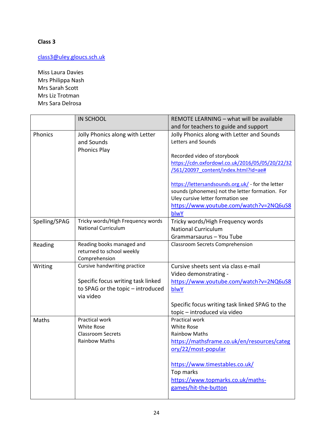### [class3@uley.gloucs.sch.uk](mailto:class3@uley.gloucs.sch.uk)

Miss Laura Davies Mrs Philippa Nash Mrs Sarah Scott Mrs Liz Trotman Mrs Sara Delrosa

|               | <b>IN SCHOOL</b>                   | REMOTE LEARNING - what will be available          |
|---------------|------------------------------------|---------------------------------------------------|
|               |                                    | and for teachers to guide and support             |
| Phonics       | Jolly Phonics along with Letter    | Jolly Phonics along with Letter and Sounds        |
|               | and Sounds                         | Letters and Sounds                                |
|               | <b>Phonics Play</b>                |                                                   |
|               |                                    | Recorded video of storybook                       |
|               |                                    | https://cdn.oxfordowl.co.uk/2016/05/05/20/22/32   |
|               |                                    | /561/20097 content/index.html?id=ae#              |
|               |                                    | https://lettersandsounds.org.uk/ - for the letter |
|               |                                    | sounds (phonemes) not the letter formation. For   |
|               |                                    | Uley cursive letter formation see                 |
|               |                                    | https://www.youtube.com/watch?v=2NQ6uS8           |
|               |                                    | blwY                                              |
| Spelling/SPAG | Tricky words/High Frequency words  | Tricky words/High Frequency words                 |
|               | <b>National Curriculum</b>         | <b>National Curriculum</b>                        |
|               |                                    | Grammarsaurus - You Tube                          |
| Reading       | Reading books managed and          | <b>Classroom Secrets Comprehension</b>            |
|               | returned to school weekly          |                                                   |
|               | Comprehension                      |                                                   |
| Writing       | Cursive handwriting practice       | Cursive sheets sent via class e-mail              |
|               |                                    | Video demonstrating -                             |
|               | Specific focus writing task linked | https://www.youtube.com/watch?v=2NQ6uS8           |
|               | to SPAG or the topic - introduced  | blwY                                              |
|               | via video                          |                                                   |
|               |                                    | Specific focus writing task linked SPAG to the    |
|               |                                    | topic - introduced via video                      |
| Maths         | <b>Practical work</b>              | Practical work                                    |
|               | <b>White Rose</b>                  | <b>White Rose</b>                                 |
|               | <b>Classroom Secrets</b>           | <b>Rainbow Maths</b>                              |
|               | <b>Rainbow Maths</b>               | https://mathsframe.co.uk/en/resources/categ       |
|               |                                    | ory/22/most-popular                               |
|               |                                    | https://www.timestables.co.uk/                    |
|               |                                    | Top marks                                         |
|               |                                    | https://www.topmarks.co.uk/maths-                 |
|               |                                    | games/hit-the-button                              |
|               |                                    |                                                   |
|               |                                    |                                                   |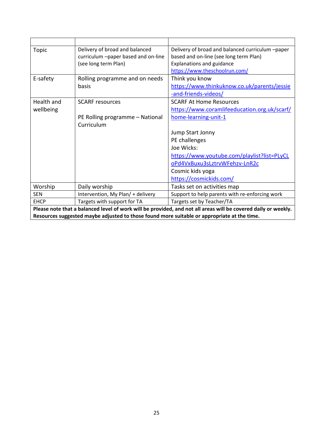| <b>Topic</b>                                                                                                   | Delivery of broad and balanced      | Delivery of broad and balanced curriculum -paper |  |  |
|----------------------------------------------------------------------------------------------------------------|-------------------------------------|--------------------------------------------------|--|--|
|                                                                                                                | curriculum -paper based and on-line | based and on-line (see long term Plan)           |  |  |
|                                                                                                                | (see long term Plan)                | <b>Explanations and guidance</b>                 |  |  |
|                                                                                                                |                                     | https://www.theschoolrun.com/                    |  |  |
| E-safety                                                                                                       | Rolling programme and on needs      | Think you know                                   |  |  |
|                                                                                                                | basis                               | https://www.thinkuknow.co.uk/parents/jessie      |  |  |
|                                                                                                                |                                     | -and-friends-videos/                             |  |  |
| Health and                                                                                                     | <b>SCARF</b> resources              | <b>SCARF At Home Resources</b>                   |  |  |
| wellbeing                                                                                                      |                                     | https://www.coramlifeeducation.org.uk/scarf/     |  |  |
|                                                                                                                | PE Rolling programme - National     | home-learning-unit-1                             |  |  |
|                                                                                                                | Curriculum                          |                                                  |  |  |
|                                                                                                                |                                     | Jump Start Jonny                                 |  |  |
|                                                                                                                |                                     | PE challenges                                    |  |  |
|                                                                                                                |                                     | Joe Wicks:                                       |  |  |
|                                                                                                                |                                     | https://www.youtube.com/playlist?list=PLyCL      |  |  |
|                                                                                                                |                                     | oPd4VxBuxu3sLztrvWFehzv-LnR2c                    |  |  |
|                                                                                                                |                                     | Cosmic kids yoga                                 |  |  |
|                                                                                                                |                                     | https://cosmickids.com/                          |  |  |
| Worship                                                                                                        | Daily worship                       | Tasks set on activities map                      |  |  |
| <b>SEN</b>                                                                                                     | Intervention, My Plan/ + delivery   | Support to help parents with re-enforcing work   |  |  |
| <b>EHCP</b>                                                                                                    | Targets with support for TA         | Targets set by Teacher/TA                        |  |  |
| Please note that a balanced level of work will be provided, and not all areas will be covered daily or weekly. |                                     |                                                  |  |  |
| Resources suggested maybe adjusted to those found more suitable or appropriate at the time.                    |                                     |                                                  |  |  |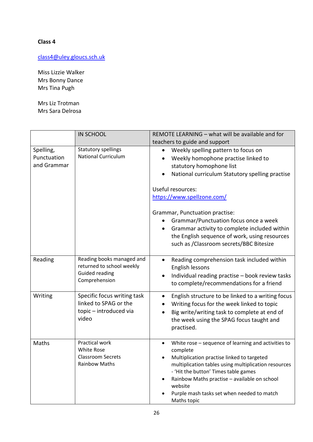[class4@uley.gloucs.sch.uk](mailto:class4@uley.gloucs.sch.uk)

Miss Lizzie Walker Mrs Bonny Dance Mrs Tina Pugh

Mrs Liz Trotman Mrs Sara Delrosa

|                                         | <b>IN SCHOOL</b>                                                                                 | REMOTE LEARNING - what will be available and for                                                                                                                                                                                                                                                                                                   |
|-----------------------------------------|--------------------------------------------------------------------------------------------------|----------------------------------------------------------------------------------------------------------------------------------------------------------------------------------------------------------------------------------------------------------------------------------------------------------------------------------------------------|
|                                         |                                                                                                  | teachers to guide and support                                                                                                                                                                                                                                                                                                                      |
| Spelling,<br>Punctuation<br>and Grammar | <b>Statutory spellings</b><br><b>National Curriculum</b>                                         | Weekly spelling pattern to focus on<br>$\bullet$<br>Weekly homophone practise linked to<br>$\bullet$<br>statutory homophone list<br>National curriculum Statutory spelling practise                                                                                                                                                                |
|                                         |                                                                                                  | Useful resources:                                                                                                                                                                                                                                                                                                                                  |
|                                         |                                                                                                  | https://www.spellzone.com/                                                                                                                                                                                                                                                                                                                         |
|                                         |                                                                                                  | Grammar, Punctuation practise:<br>Grammar/Punctuation focus once a week<br>Grammar activity to complete included within<br>$\bullet$<br>the English sequence of work, using resources<br>such as /Classroom secrets/BBC Bitesize                                                                                                                   |
| Reading                                 | Reading books managed and<br>returned to school weekly<br><b>Guided reading</b><br>Comprehension | Reading comprehension task included within<br>$\bullet$<br>English lessons<br>Individual reading practise - book review tasks<br>$\bullet$<br>to complete/recommendations for a friend                                                                                                                                                             |
| Writing                                 | Specific focus writing task<br>linked to SPAG or the<br>topic - introduced via<br>video          | English structure to be linked to a writing focus<br>$\bullet$<br>Writing focus for the week linked to topic<br>$\bullet$<br>Big write/writing task to complete at end of<br>$\bullet$<br>the week using the SPAG focus taught and<br>practised.                                                                                                   |
| Maths                                   | Practical work<br><b>White Rose</b><br><b>Classroom Secrets</b><br><b>Rainbow Maths</b>          | White rose - sequence of learning and activities to<br>$\bullet$<br>complete<br>Multiplication practise linked to targeted<br>multiplication tables using multiplication resources<br>- 'Hit the button' Times table games<br>Rainbow Maths practise - available on school<br>website<br>Purple mash tasks set when needed to match<br>Maths topic |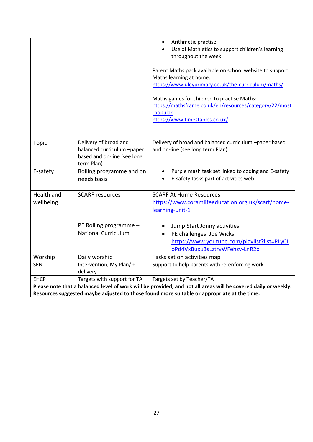|                                                                                                                |                                                                                                  | Arithmetic practise<br>$\bullet$<br>Use of Mathletics to support children's learning<br>throughout the week.                                          |
|----------------------------------------------------------------------------------------------------------------|--------------------------------------------------------------------------------------------------|-------------------------------------------------------------------------------------------------------------------------------------------------------|
|                                                                                                                |                                                                                                  | Parent Maths pack available on school website to support<br>Maths learning at home:<br>https://www.uleyprimary.co.uk/the-curriculum/maths/            |
|                                                                                                                |                                                                                                  | Maths games for children to practise Maths:<br>https://mathsframe.co.uk/en/resources/category/22/most<br>-popular<br>https://www.timestables.co.uk/   |
| <b>Topic</b>                                                                                                   | Delivery of broad and<br>balanced curriculum -paper<br>based and on-line (see long<br>term Plan) | Delivery of broad and balanced curriculum -paper based<br>and on-line (see long term Plan)                                                            |
| E-safety                                                                                                       | Rolling programme and on<br>needs basis                                                          | Purple mash task set linked to coding and E-safety<br>$\bullet$<br>E-safety tasks part of activities web                                              |
| Health and<br>wellbeing                                                                                        | <b>SCARF resources</b>                                                                           | <b>SCARF At Home Resources</b><br>https://www.coramlifeeducation.org.uk/scarf/home-<br>learning-unit-1                                                |
|                                                                                                                | PE Rolling programme -<br><b>National Curriculum</b>                                             | Jump Start Jonny activities<br>PE challenges: Joe Wicks:<br>$\bullet$<br>https://www.youtube.com/playlist?list=PLyCL<br>oPd4VxBuxu3sLztrvWFehzv-LnR2c |
| Worship                                                                                                        | Daily worship                                                                                    | Tasks set on activities map                                                                                                                           |
| <b>SEN</b>                                                                                                     | Intervention, My Plan/+<br>delivery                                                              | Support to help parents with re-enforcing work                                                                                                        |
| <b>EHCP</b>                                                                                                    | Targets with support for TA                                                                      | Targets set by Teacher/TA                                                                                                                             |
| Please note that a balanced level of work will be provided, and not all areas will be covered daily or weekly. |                                                                                                  |                                                                                                                                                       |
| Resources suggested maybe adjusted to those found more suitable or appropriate at the time.                    |                                                                                                  |                                                                                                                                                       |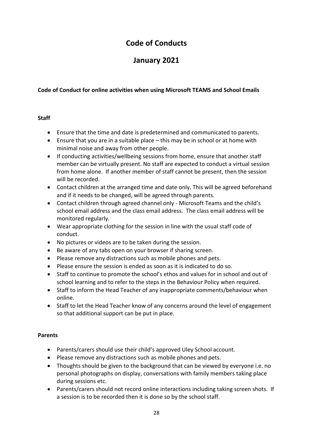# **Code of Conducts**

# **January 2021**

#### **Code of Conduct for online activities when using Microsoft TEAMS and School Emails**

#### **Staff**

- Ensure that the time and date is predetermined and communicated to parents.
- Ensure that you are in a suitable place this may be in school or at home with minimal noise and away from other people.
- If conducting activities/wellbeing sessions from home, ensure that another staff member can be virtually present. No staff are expected to conduct a virtual session from home alone. If another member of staff cannot be present, then the session will be recorded.
- Contact children at the arranged time and date only. This will be agreed beforehand and if it needs to be changed, will be agreed through parents.
- Contact children through agreed channel only Microsoft Teams and the child's school email address and the class email address. The class email address will be monitored regularly.
- Wear appropriate clothing for the session in line with the usual staff code of conduct.
- No pictures or videos are to be taken during the session.
- Be aware of any tabs open on your browser if sharing screen.
- Please remove any distractions such as mobile phones and pets.
- Please ensure the session is ended as soon as it is indicated to do so.
- Staff to continue to promote the school's ethos and values for in school and out of school learning and to refer to the steps in the Behaviour Policy when required.
- Staff to inform the Head Teacher of any inappropriate comments/behaviour when online.
- Staff to let the Head Teacher know of any concerns around the level of engagement so that additional support can be put in place.

#### **Parents**

- Parents/carers should use their child's approved Uley School account.
- Please remove any distractions such as mobile phones and pets.
- Thoughts should be given to the background that can be viewed by everyone i.e. no personal photographs on display, conversations with family members taking place during sessions etc.
- Parents/carers should not record online interactions including taking screen shots. If a session is to be recorded then it is done so by the school staff.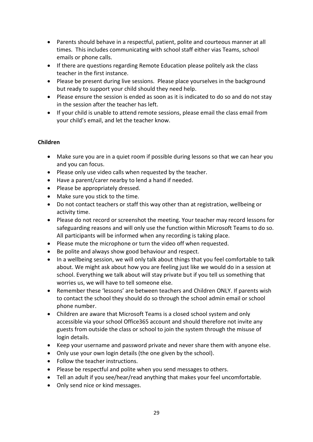- Parents should behave in a respectful, patient, polite and courteous manner at all times. This includes communicating with school staff either vias Teams, school emails or phone calls.
- If there are questions regarding Remote Education please politely ask the class teacher in the first instance.
- Please be present during live sessions. Please place yourselves in the background but ready to support your child should they need help.
- Please ensure the session is ended as soon as it is indicated to do so and do not stay in the session after the teacher has left.
- If your child is unable to attend remote sessions, please email the class email from your child's email, and let the teacher know.

#### **Children**

- Make sure you are in a quiet room if possible during lessons so that we can hear you and you can focus.
- Please only use video calls when requested by the teacher.
- Have a parent/carer nearby to lend a hand if needed.
- Please be appropriately dressed.
- Make sure you stick to the time.
- Do not contact teachers or staff this way other than at registration, wellbeing or activity time.
- Please do not record or screenshot the meeting. Your teacher may record lessons for safeguarding reasons and will only use the function within Microsoft Teams to do so. All participants will be informed when any recording is taking place.
- Please mute the microphone or turn the video off when requested.
- Be polite and always show good behaviour and respect.
- In a wellbeing session, we will only talk about things that you feel comfortable to talk about. We might ask about how you are feeling just like we would do in a session at school. Everything we talk about will stay private but if you tell us something that worries us, we will have to tell someone else.
- Remember these 'lessons' are between teachers and Children ONLY. If parents wish to contact the school they should do so through the school admin email or school phone number.
- Children are aware that Microsoft Teams is a closed school system and only accessible via your school Office365 account and should therefore not invite any guests from outside the class or school to join the system through the misuse of login details.
- Keep your username and password private and never share them with anyone else.
- Only use your own login details (the one given by the school).
- Follow the teacher instructions.
- Please be respectful and polite when you send messages to others.
- Tell an adult if you see/hear/read anything that makes your feel uncomfortable.
- Only send nice or kind messages.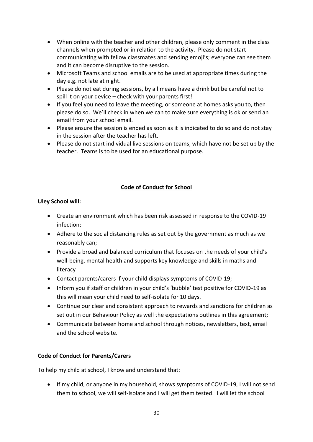- When online with the teacher and other children, please only comment in the class channels when prompted or in relation to the activity. Please do not start communicating with fellow classmates and sending emoji's; everyone can see them and it can become disruptive to the session.
- Microsoft Teams and school emails are to be used at appropriate times during the day e.g. not late at night.
- Please do not eat during sessions, by all means have a drink but be careful not to spill it on your device – check with your parents first!
- If you feel you need to leave the meeting, or someone at homes asks you to, then please do so. We'll check in when we can to make sure everything is ok or send an email from your school email.
- Please ensure the session is ended as soon as it is indicated to do so and do not stay in the session after the teacher has left.
- Please do not start individual live sessions on teams, which have not be set up by the teacher. Teams is to be used for an educational purpose.

#### **Code of Conduct for School**

#### **Uley School will:**

- Create an environment which has been risk assessed in response to the COVID-19 infection;
- Adhere to the social distancing rules as set out by the government as much as we reasonably can;
- Provide a broad and balanced curriculum that focuses on the needs of your child's well-being, mental health and supports key knowledge and skills in maths and literacy
- Contact parents/carers if your child displays symptoms of COVID-19;
- Inform you if staff or children in your child's 'bubble' test positive for COVID-19 as this will mean your child need to self-isolate for 10 days.
- Continue our clear and consistent approach to rewards and sanctions for children as set out in our Behaviour Policy as well the expectations outlines in this agreement;
- Communicate between home and school through notices, newsletters, text, email and the school website.

#### **Code of Conduct for Parents/Carers**

To help my child at school, I know and understand that:

 If my child, or anyone in my household, shows symptoms of COVID-19, I will not send them to school, we will self-isolate and I will get them tested. I will let the school